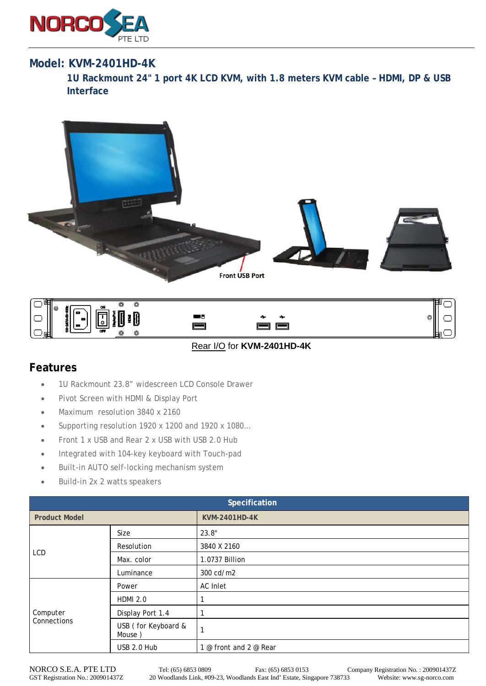

## **Model: KVM-2401HD-4K**

**1U Rackmount 24" 1 port 4K LCD KVM, with 1.8 meters KVM cable – HDMI, DP & USB Interface** 





Rear I/O for **KVM-2401HD-4K**

## **Features**

- 1U Rackmount 23.8" widescreen LCD Console Drawer
- Pivot Screen with HDMI & Display Port
- Maximum resolution 3840 x 2160
- Supporting resolution 1920 x 1200 and 1920 x 1080…
- Front 1 x USB and Rear 2 x USB with USB 2.0 Hub
- Integrated with 104-key keyboard with Touch-pad
- Built-in AUTO self-locking mechanism system
- Build-in 2x 2 watts speakers

| Specification           |                               |                        |  |
|-------------------------|-------------------------------|------------------------|--|
| <b>Product Model</b>    |                               | <b>KVM-2401HD-4K</b>   |  |
| <b>LCD</b>              | Size                          | 23.8"                  |  |
|                         | Resolution                    | 3840 X 2160            |  |
|                         | Max. color                    | 1.0737 Billion         |  |
|                         | Luminance                     | 300 cd/m2              |  |
| Computer<br>Connections | Power                         | AC Inlet               |  |
|                         | <b>HDMI 2.0</b>               |                        |  |
|                         | Display Port 1.4              | 1                      |  |
|                         | USB (for Keyboard &<br>Mouse) | $\mathbf{1}$           |  |
|                         | USB 2.0 Hub                   | 1 @ front and 2 @ Rear |  |